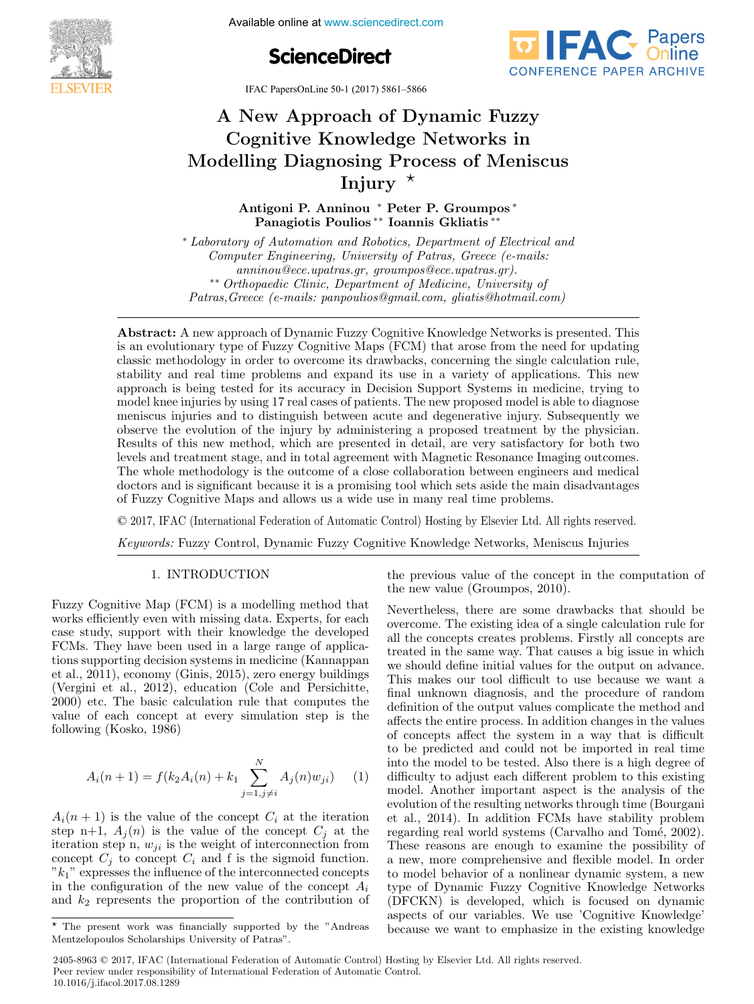Available online at www.sciencedirect.com **Proceedings of the 20th World Congress**





IFAC PapersOnLine 50-1 (2017) 5861–5866

# A New Approach of Dynamic Fuzzy Cognitive Knowledge Networks in Modelling Diagnosing Process of Meniscus Injury Injury Injury A New Approach of Dynamic Fuzzy A New Approach of Dynamic Fuzzy A New Approach of Dynamic Fuzzy Cognitive Knowledge Networks in Cognitive Knowledge Networks in

Antigoni P. Anninou ← Peter P. Groumpos Panagiotis Poulios ∗∗ Ioannis Gkliatis ∗∗ Panagiotis Poulios ∗∗ Ioannis Gkliatis ∗∗ Antigoni P. Anninou ∗ Peter P. Groumpos ∗ Antigoni P. Anninou ∗ Peter P. Groumpos ∗ Antigoni P. Anninou <sup>∗</sup> Peter P. Groumpos <sup>∗</sup><br>D. Little ∗∗\* Ioannis Guliati\*\* Panagiotis Poulios ∗∗ Ioannis Gkliatis ∗∗

Computer Engineering, University of Patras, Greece (e-mails: anninou@ece.upatras.gr, groumpos@ece.upatras.gr). \*\* Orthopaedic Clinic, Department of Medicine, University of Patras, Greece (e-mails: panpoulios@gmail.com, gliatis@hotmail.com) Patras,Greece (e-mails: panpoulios@gmail.com, gliatis@hotmail.com) ∗ Laboratory of Automation and Robotics, Department of Electrical and Patras,Greece (e-mails: panpoulios@gmail.com, gliatis@hotmail.com)

Patras,Greece (e-mails: panpoulios@gmail.com, gliatis@hotmail.com)

is an evolutionary type of Fuzzy Cognitive Maps (FCM) that arose from the need for updating classic methodology in order to overcome its drawbacks, concerning the single calculation rule, stability and real time problems and expand its use in a variety of applications. This new approach is being tested for its accuracy in Decision Support Systems in medicine, trying to model knee injuries by using 17 real cases of patients. The new proposed model is able to diagnose meniscus injuries and to distinguish between acute and degenerative injury. Subsequently we observe the evolution of the injury by administering a proposed treatment by the physician. Results of this new method, which are presented in detail, are very satisfactory for both two levels and treatment stage, and in total agreement with Magnetic Resonance Imaging outcomes. The whole methodology is the outcome of a close collaboration between engineers and medical doctors and is significant because it is a promising tool which sets aside the main disadvantages of Fuzzy Cognitive Maps and allows us a wide use in many real time problems. Abstract: A new approach of Dynamic Fuzzy Cognitive Knowledge Networks is presented. This of Fuzzy Cognitive Maps and allows us a wide use in many real time problems.

© 2017, IFAC (International Federation of Automatic Control) Hosting by Elsevier Ltd. All rights reserved.

Keywords: Fuzzy Control, Dynamic Fuzzy Cognitive Knowledge Networks, Meniscus Injuries Keywords: Fuzzy Control, Dynamic Fuzzy Cognitive Knowledge Networks, Meniscus Injuries

# 1. INTRODUCTION 1. INTRODUCTION 1. INTRODUCTION

Fuzzy Cognitive Map (FCM) is a modelling method that works efficiently even with missing data. Experts, for each case study, support with their knowledge the developed FCMs. They have been used in a large range of applications supporting decision systems in medicine (Kannappan et al., 2011), economy (Ginis, 2015), zero energy buildings (Vergini et al., 2012), education (Cole and Persichitte,  $(2000)$  etc. The basic calculation rule that computes the value of each concept at every simulation step is the following (Kosko, 1986) following (Kosko, 1986) following (Kosko, 1986) Fuzzy Cognitive Map (FCM) is a modelling method that

$$
A_i(n+1) = f(k_2 A_i(n) + k_1 \sum_{j=1, j \neq i}^{N} A_j(n) w_{ji}) \tag{1}
$$

 $A_i(n+1)$  is the value of the concept  $C_i$  at the iteration step n+1,  $A_j(n)$  is the value of the concept  $C_j$  at the iteration step n+1,  $A_j(n)$  is the value of the concept  $C_j$  at the iteration step n,  $w_{ji}$  is the weight of interconnection from concept  $C_j$  to concept  $C_i$  and f is the sigmoid function.  $"k_1"$  expresses the influence of the interconnected concepts in the configuration of the new value of the concept  $A_i$ and  $k_2$  represents the proportion of the contribution of  $A_{\rm eff}$  is the value of the value of the concept Ci at the iteration of the iteration  $\alpha$  $A_i(n+1)$  is the value of the concept  $C_i$  at the iteration The present work was financially supported by the "Andreas the previous value of the concept in the computation of  $\frac{1}{2}$ the new value (Groumpos, 2010). the new value (Groumpos, 2010). the new value (Groumpos, 2010).  $\sum_{i=1}^{n}$ 

Nevertheless, there are some drawbacks that should be  $\sum_{n=1}^{\infty}$ overcome. The existing idea of a single calculation rule for all the concepts creates problems. Firstly all concepts are treated in the same way. That causes a big issue in which we should define initial values for the output on advance. This makes our tool difficult to use because we want a final unknown diagnosis, and the procedure of random definition of the output values complicate the method and affects the entire process. In addition changes in the values of concepts affect the system in a way that is difficult to be predicted and could not be imported in real time into the model to be tested. Also there is a high degree of  $\mathcal{L}^{\mathcal{F}}$ difficulty to adjust each different problem to this existing model. Another important aspect is the analysis of the evolution of the resulting networks through time (Bourgani et al., 2014). In addition FCMs have stability problem regarding real world systems (Carvalho and Tomé, 2002). These reasons are enough to examine the possibility of a new, more comprehensive and flexible model. In order to model behavior of a nonlinear dynamic system, a new type of Dynamic Fuzzy Cognitive Knowledge Networks  $(DFCKN)$  is developed, which is focused on dynamic aspects of our variables. We use 'Cognitive Knowledge' because we want to emphasize in the existing knowledge because we want to emphasize in the existing knowledge because we want to emphasize in the existing knowledge

2405-8963 © 2017, IFAC (International Federation of Automatic Control) Hosting by Elsevier Ltd. All rights reserved. Peer review under responsibility of International Federation of Automatic Control. 10.1016/j.ifacol.2017.08.1289

The present work was financially supported by the "Andreas" Mentzelopoulos Scholarships University of Patras". Mentzelopoulos Scholarships University of Patras". Mentzelopoulos Scholarships University of Patras".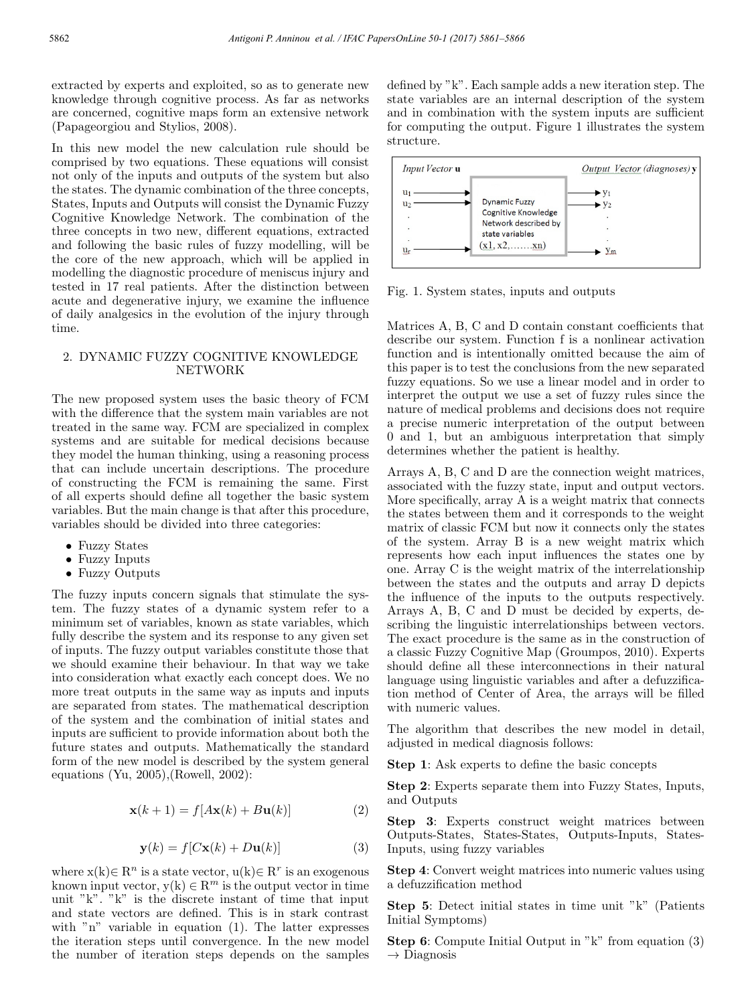extracted by experts and exploited, so as to generate new knowledge through cognitive process. As far as networks are concerned, cognitive maps form an extensive network (Papageorgiou and Stylios, 2008).

In this new model the new calculation rule should be comprised by two equations. These equations will consist not only of the inputs and outputs of the system but also the states. The dynamic combination of the three concepts, States, Inputs and Outputs will consist the Dynamic Fuzzy Cognitive Knowledge Network. The combination of the three concepts in two new, different equations, extracted and following the basic rules of fuzzy modelling, will be the core of the new approach, which will be applied in modelling the diagnostic procedure of meniscus injury and tested in 17 real patients. After the distinction between acute and degenerative injury, we examine the influence of daily analgesics in the evolution of the injury through time.

#### 2. DYNAMIC FUZZY COGNITIVE KNOWLEDGE NETWORK

The new proposed system uses the basic theory of FCM with the difference that the system main variables are not treated in the same way. FCM are specialized in complex systems and are suitable for medical decisions because they model the human thinking, using a reasoning process that can include uncertain descriptions. The procedure of constructing the FCM is remaining the same. First of all experts should define all together the basic system variables. But the main change is that after this procedure, variables should be divided into three categories:

- Fuzzy States
- Fuzzy Inputs
- Fuzzy Outputs

The fuzzy inputs concern signals that stimulate the system. The fuzzy states of a dynamic system refer to a minimum set of variables, known as state variables, which fully describe the system and its response to any given set of inputs. The fuzzy output variables constitute those that we should examine their behaviour. In that way we take into consideration what exactly each concept does. We no more treat outputs in the same way as inputs and inputs are separated from states. The mathematical description of the system and the combination of initial states and inputs are sufficient to provide information about both the future states and outputs. Mathematically the standard form of the new model is described by the system general equations (Yu, 2005),(Rowell, 2002):

$$
\mathbf{x}(k+1) = f[A\mathbf{x}(k) + B\mathbf{u}(k)] \tag{2}
$$

$$
\mathbf{y}(k) = f[C\mathbf{x}(k) + D\mathbf{u}(k)]\tag{3}
$$

where  $x(k) \in R^n$  is a state vector,  $u(k) \in R^r$  is an exogenous known input vector,  $y(k) \in \mathbb{R}^m$  is the output vector in time unit "k". "k" is the discrete instant of time that input and state vectors are defined. This is in stark contrast with "n" variable in equation (1). The latter expresses the iteration steps until convergence. In the new model the number of iteration steps depends on the samples

defined by "k". Each sample adds a new iteration step. The state variables are an internal description of the system and in combination with the system inputs are sufficient for computing the output. Figure 1 illustrates the system structure.



Fig. 1. System states, inputs and outputs

Matrices A, B, C and D contain constant coefficients that describe our system. Function f is a nonlinear activation function and is intentionally omitted because the aim of this paper is to test the conclusions from the new separated fuzzy equations. So we use a linear model and in order to interpret the output we use a set of fuzzy rules since the nature of medical problems and decisions does not require a precise numeric interpretation of the output between 0 and 1, but an ambiguous interpretation that simply determines whether the patient is healthy.

Arrays A, B, C and D are the connection weight matrices, associated with the fuzzy state, input and output vectors. More specifically, array A is a weight matrix that connects the states between them and it corresponds to the weight matrix of classic FCM but now it connects only the states of the system. Array B is a new weight matrix which represents how each input influences the states one by one. Array C is the weight matrix of the interrelationship between the states and the outputs and array D depicts the influence of the inputs to the outputs respectively. Arrays A, B, C and D must be decided by experts, describing the linguistic interrelationships between vectors. The exact procedure is the same as in the construction of a classic Fuzzy Cognitive Map (Groumpos, 2010). Experts should define all these interconnections in their natural language using linguistic variables and after a defuzzification method of Center of Area, the arrays will be filled with numeric values.

The algorithm that describes the new model in detail, adjusted in medical diagnosis follows:

Step 1: Ask experts to define the basic concepts

Step 2: Experts separate them into Fuzzy States, Inputs, and Outputs

Step 3: Experts construct weight matrices between Outputs-States, States-States, Outputs-Inputs, States-Inputs, using fuzzy variables

Step 4: Convert weight matrices into numeric values using a defuzzification method

Step 5: Detect initial states in time unit "k" (Patients Initial Symptoms)

Step 6: Compute Initial Output in "k" from equation (3)  $\rightarrow$  Diagnosis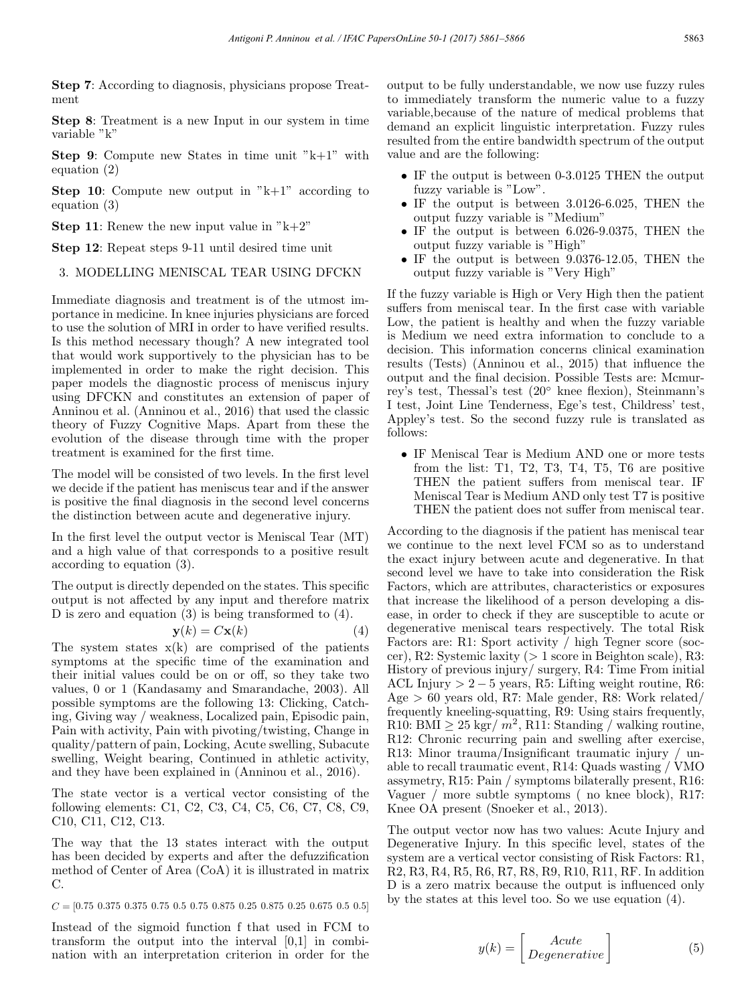Step 7: According to diagnosis, physicians propose Treatment

Step 8: Treatment is a new Input in our system in time variable "k"

Step 9: Compute new States in time unit "k+1" with equation (2)

**Step 10:** Compute new output in  $"k+1"$  according to equation (3)

**Step 11:** Renew the new input value in  $"k+2"$ 

Step 12: Repeat steps 9-11 until desired time unit

#### 3. MODELLING MENISCAL TEAR USING DFCKN

Immediate diagnosis and treatment is of the utmost importance in medicine. In knee injuries physicians are forced to use the solution of MRI in order to have verified results. Is this method necessary though? A new integrated tool that would work supportively to the physician has to be implemented in order to make the right decision. This paper models the diagnostic process of meniscus injury using DFCKN and constitutes an extension of paper of Anninou et al. (Anninou et al., 2016) that used the classic theory of Fuzzy Cognitive Maps. Apart from these the evolution of the disease through time with the proper treatment is examined for the first time.

The model will be consisted of two levels. In the first level we decide if the patient has meniscus tear and if the answer is positive the final diagnosis in the second level concerns the distinction between acute and degenerative injury.

In the first level the output vector is Meniscal Tear (MT) and a high value of that corresponds to a positive result according to equation (3).

The output is directly depended on the states. This specific output is not affected by any input and therefore matrix D is zero and equation (3) is being transformed to (4).

$$
\mathbf{y}(k) = C\mathbf{x}(k) \tag{4}
$$

The system states  $x(k)$  are comprised of the patients symptoms at the specific time of the examination and their initial values could be on or off, so they take two values, 0 or 1 (Kandasamy and Smarandache, 2003). All possible symptoms are the following 13: Clicking, Catching, Giving way / weakness, Localized pain, Episodic pain, Pain with activity, Pain with pivoting/twisting, Change in quality/pattern of pain, Locking, Acute swelling, Subacute swelling, Weight bearing, Continued in athletic activity, and they have been explained in (Anninou et al., 2016).

The state vector is a vertical vector consisting of the following elements: C1, C2, C3, C4, C5, C6, C7, C8, C9, C10, C11, C12, C13.

The way that the 13 states interact with the output has been decided by experts and after the defuzzification method of Center of Area (CoA) it is illustrated in matrix C.

 $C = [0.75 \ 0.375 \ 0.375 \ 0.75 \ 0.5 \ 0.75 \ 0.875 \ 0.25 \ 0.875 \ 0.25 \ 0.675 \ 0.5 \ 0.5]$ 

Instead of the sigmoid function f that used in FCM to transform the output into the interval [0,1] in combination with an interpretation criterion in order for the output to be fully understandable, we now use fuzzy rules to immediately transform the numeric value to a fuzzy variable,because of the nature of medical problems that demand an explicit linguistic interpretation. Fuzzy rules resulted from the entire bandwidth spectrum of the output value and are the following:

- IF the output is between 0-3.0125 THEN the output fuzzy variable is "Low".
- IF the output is between 3.0126-6.025, THEN the output fuzzy variable is "Medium"
- IF the output is between 6.026-9.0375, THEN the output fuzzy variable is "High"
- IF the output is between 9.0376-12.05, THEN the output fuzzy variable is "Very High"

If the fuzzy variable is High or Very High then the patient suffers from meniscal tear. In the first case with variable Low, the patient is healthy and when the fuzzy variable is Medium we need extra information to conclude to a decision. This information concerns clinical examination results (Tests) (Anninou et al., 2015) that influence the output and the final decision. Possible Tests are: Mcmurrey's test, Thessal's test (20◦ knee flexion), Steinmann's I test, Joint Line Tenderness, Ege's test, Childress' test, Appley's test. So the second fuzzy rule is translated as follows:

• IF Meniscal Tear is Medium AND one or more tests from the list: T1, T2, T3, T4, T5, T6 are positive THEN the patient suffers from meniscal tear. IF Meniscal Tear is Medium AND only test T7 is positive THEN the patient does not suffer from meniscal tear.

According to the diagnosis if the patient has meniscal tear we continue to the next level FCM so as to understand the exact injury between acute and degenerative. In that second level we have to take into consideration the Risk Factors, which are attributes, characteristics or exposures that increase the likelihood of a person developing a disease, in order to check if they are susceptible to acute or degenerative meniscal tears respectively. The total Risk Factors are: R1: Sport activity / high Tegner score (soccer), R2: Systemic laxity (> 1 score in Beighton scale), R3: History of previous injury/ surgery, R4: Time From initial ACL Injury  $> 2 - 5$  years, R5: Lifting weight routine, R6: Age  $> 60$  years old, R7: Male gender, R8: Work related/ frequently kneeling-squatting, R9: Using stairs frequently, R10: BMI  $\geq$  25 kgr/m<sup>2</sup>, R11: Standing / walking routine, R12: Chronic recurring pain and swelling after exercise, R13: Minor trauma/Insignificant traumatic injury / unable to recall traumatic event, R14: Quads wasting / VMO assymetry, R15: Pain / symptoms bilaterally present, R16: Vaguer / more subtle symptoms ( no knee block), R17: Knee OA present (Snoeker et al., 2013).

The output vector now has two values: Acute Injury and Degenerative Injury. In this specific level, states of the system are a vertical vector consisting of Risk Factors: R1, R2, R3, R4, R5, R6, R7, R8, R9, R10, R11, RF. In addition D is a zero matrix because the output is influenced only by the states at this level too. So we use equation (4).

$$
y(k) = \begin{bmatrix} Acute \\ Degenerative \end{bmatrix}
$$
 (5)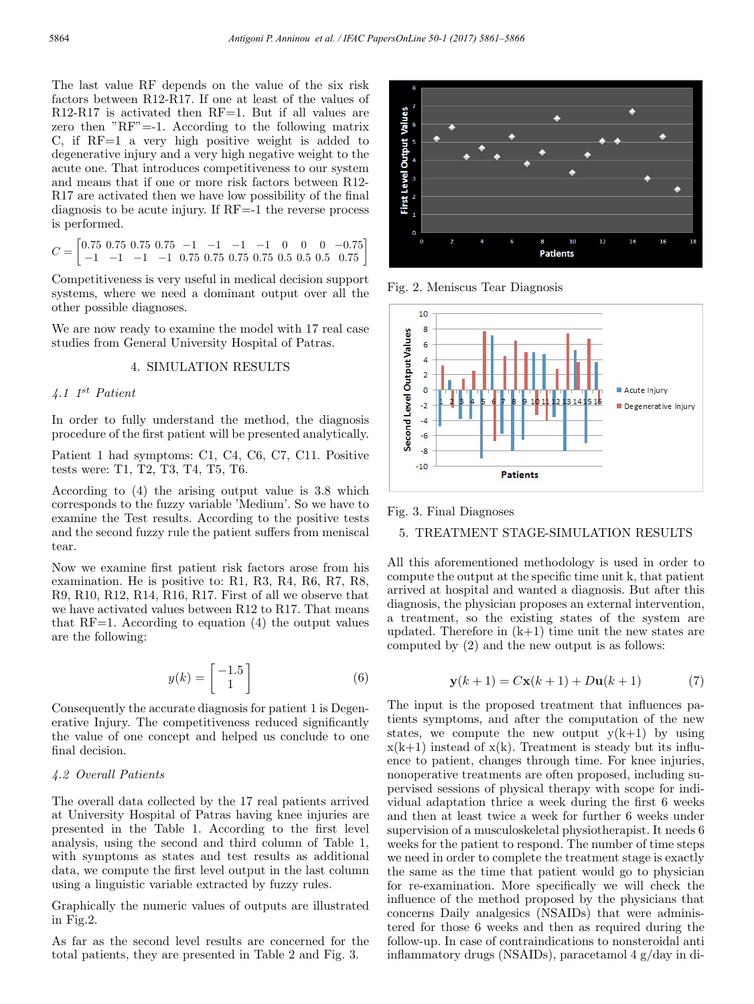The last value RF depends on the value of the six risk factors between R12-R17. If one at least of the values of R12-R17 is activated then RF=1. But if all values are zero then " $RF$ "=-1. According to the following matrix C, if RF=1 a very high positive weight is added to degenerative injury and a very high negative weight to the acute one. That introduces competitiveness to our system and means that if one or more risk factors between R12- R17 are activated then we have low possibility of the final diagnosis to be acute injury. If RF=-1 the reverse process is performed.

$$
C = \begin{bmatrix} 0.75 & 0.75 & 0.75 & 0.75 & -1 & -1 & -1 & -1 & 0 & 0 & 0 & -0.75 \\ -1 & -1 & -1 & -1 & 0.75 & 0.75 & 0.75 & 0.5 & 0.5 & 0.5 & 0.75 \end{bmatrix}
$$

Competitiveness is very useful in medical decision support systems, where we need a dominant output over all the other possible diagnoses.

We are now ready to examine the model with 17 real case studies from General University Hospital of Patras.

#### 4. SIMULATION RESULTS

## $4.1$  1<sup>st</sup> Patient

In order to fully understand the method, the diagnosis procedure of the first patient will be presented analytically.

Patient 1 had symptoms: C1, C4, C6, C7, C11. Positive tests were: T1, T2, T3, T4, T5, T6.

According to (4) the arising output value is 3.8 which corresponds to the fuzzy variable 'Medium'. So we have to examine the Test results. According to the positive tests and the second fuzzy rule the patient suffers from meniscal tear.

Now we examine first patient risk factors arose from his examination. He is positive to: R1, R3, R4, R6, R7, R8, R9, R10, R12, R14, R16, R17. First of all we observe that we have activated values between R12 to R17. That means that  $RF=1$ . According to equation (4) the output values are the following:

$$
y(k) = \begin{bmatrix} -1.5\\ 1 \end{bmatrix} \tag{6}
$$

Consequently the accurate diagnosis for patient 1 is Degenerative Injury. The competitiveness reduced significantly the value of one concept and helped us conclude to one final decision.

#### 4.2 Overall Patients

The overall data collected by the 17 real patients arrived at University Hospital of Patras having knee injuries are presented in the Table 1. According to the first level analysis, using the second and third column of Table 1, with symptoms as states and test results as additional data, we compute the first level output in the last column using a linguistic variable extracted by fuzzy rules.

Graphically the numeric values of outputs are illustrated in Fig.2.

As far as the second level results are concerned for the total patients, they are presented in Table 2 and Fig. 3.



Fig. 2. Meniscus Tear Diagnosis



Fig. 3. Final Diagnoses

## 5. TREATMENT STAGE-SIMULATION RESULTS

All this aforementioned methodology is used in order to compute the output at the specific time unit k, that patient arrived at hospital and wanted a diagnosis. But after this diagnosis, the physician proposes an external intervention, a treatment, so the existing states of the system are updated. Therefore in  $(k+1)$  time unit the new states are computed by (2) and the new output is as follows:

$$
y(k+1) = Cx(k+1) + Du(k+1)
$$
 (7)

The input is the proposed treatment that influences patients symptoms, and after the computation of the new states, we compute the new output  $y(k+1)$  by using  $x(k+1)$  instead of  $x(k)$ . Treatment is steady but its influence to patient, changes through time. For knee injuries, nonoperative treatments are often proposed, including supervised sessions of physical therapy with scope for individual adaptation thrice a week during the first 6 weeks and then at least twice a week for further 6 weeks under supervision of a musculoskeletal physiotherapist. It needs 6 weeks for the patient to respond. The number of time steps we need in order to complete the treatment stage is exactly the same as the time that patient would go to physician for re-examination. More specifically we will check the influence of the method proposed by the physicians that concerns Daily analgesics (NSAIDs) that were administered for those 6 weeks and then as required during the follow-up. In case of contraindications to nonsteroidal anti inflammatory drugs (NSAIDs), paracetamol 4 g/day in di-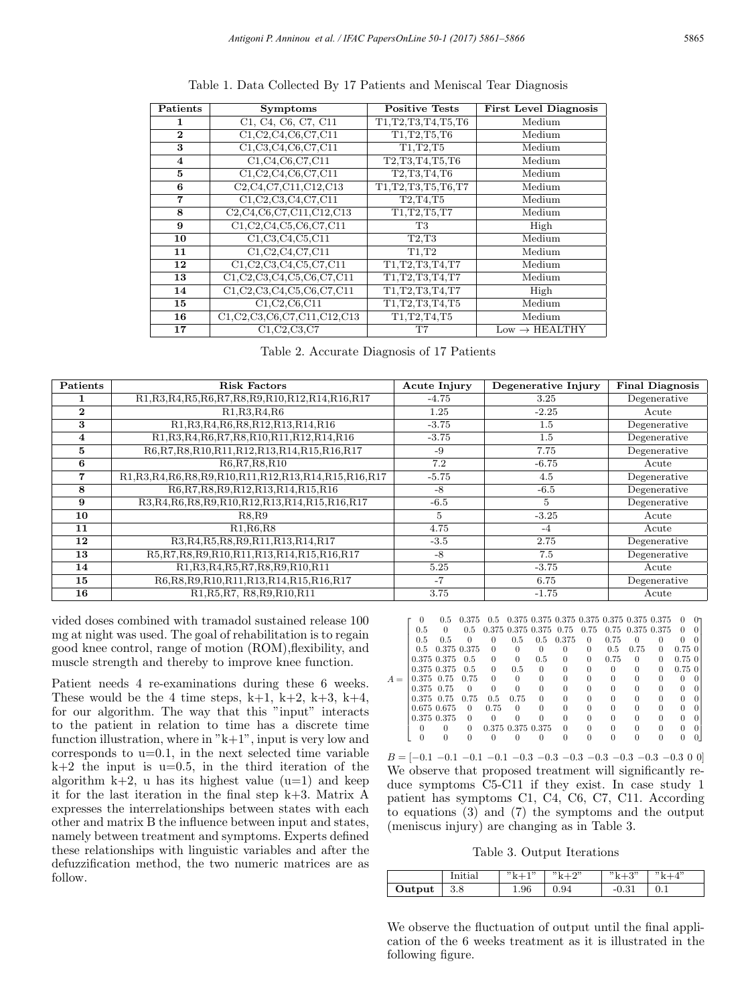| Patients                | <b>Symptoms</b>                                                                                                                 | <b>Positive Tests</b>  | <b>First Level Diagnosis</b> |  |  |
|-------------------------|---------------------------------------------------------------------------------------------------------------------------------|------------------------|------------------------------|--|--|
| 1                       | C1, C4, C6, C7, C11                                                                                                             | T1, T2, T3, T4, T5, T6 | Medium                       |  |  |
| $\mathbf{2}$            | C1, C2, C4, C6, C7, C11                                                                                                         | T1,T2,T5,T6            | Medium                       |  |  |
| 3                       | C1,C3,C4,C6,C7,C11                                                                                                              | T1.T2.T5               | Medium                       |  |  |
| $\overline{\mathbf{4}}$ | C <sub>1</sub> ,C <sub>4</sub> ,C <sub>6</sub> ,C <sub>7</sub> ,C <sub>11</sub>                                                 | T2, T3, T4, T5, T6     | Medium                       |  |  |
| 5                       | C1, C2, C4, C6, C7, C11                                                                                                         | T2,T3,T4,T6            | Medium                       |  |  |
| 6                       | C <sub>2</sub> ,C <sub>4</sub> ,C <sub>7</sub> ,C <sub>11</sub> ,C <sub>12</sub> ,C <sub>13</sub>                               | T1, T2, T3, T5, T6, T7 | Medium                       |  |  |
| $\overline{7}$          | C1, C2, C3, C4, C7, C11                                                                                                         | T2,T4,T5               | Medium                       |  |  |
| 8                       | C2, C4, C6, C7, C11, C12, C13                                                                                                   | T1,T2,T5,T7            | Medium                       |  |  |
| 9                       | C1, C2, C4, C5, C6, C7, C11                                                                                                     | T3                     | High                         |  |  |
| 10                      | C1, C3, C4, C5, C11                                                                                                             | T2,T3                  | Medium                       |  |  |
| 11                      | $\overline{C1, C2, C4, C7, C11}$                                                                                                | T1,T2                  | Medium                       |  |  |
| 12                      | C1, C2, C3, C4, C5, C7, C11                                                                                                     | T1, T2, T3, T4, T7     | Medium                       |  |  |
| 13                      | C <sub>1</sub> ,C <sub>2</sub> ,C <sub>3</sub> ,C <sub>4</sub> ,C <sub>5</sub> ,C <sub>6</sub> ,C <sub>7</sub> ,C <sub>11</sub> | T1, T2, T3, T4, T7     | Medium                       |  |  |
| 14                      | C1, C2, C3, C4, C5, C6, C7, C11                                                                                                 | T1, T2, T3, T4, T7     | High                         |  |  |
| 15                      | C1.C2.C6.C11                                                                                                                    | T1, T2, T3, T4, T5     | Medium                       |  |  |
| 16                      | C1, C2, C3, C6, C7, C11, C12, C13                                                                                               | T1,T2,T4,T5            | Medium                       |  |  |
| 17                      | C1, C2, C3, C7                                                                                                                  | T7                     | $Low \rightarrow HEALTHY$    |  |  |

Table 1. Data Collected By 17 Patients and Meniscal Tear Diagnosis

Table 2. Accurate Diagnosis of 17 Patients

| Patients                | <b>Risk Factors</b>                                            | <b>Acute Injury</b> | Degenerative Injury | <b>Final Diagnosis</b> |  |  |
|-------------------------|----------------------------------------------------------------|---------------------|---------------------|------------------------|--|--|
|                         | R1, R3, R4, R5, R6, R7, R8, R9, R10, R12, R14, R16, R17        | $-4.75$             | 3.25                | Degenerative           |  |  |
| $\bf{2}$                | R1, R3, R4, R6                                                 | 1.25                | $-2.25$             | Acute                  |  |  |
| 3                       | R1, R3, R4, R6, R8, R12, R13, R14, R16                         | $-3.75$             | 1.5                 | Degenerative           |  |  |
| $\overline{\mathbf{4}}$ | R1, R3, R4, R6, R7, R8, R10, R11, R12, R14, R16                | $-3.75$             | 1.5                 | Degenerative           |  |  |
| 5                       | R6, R7, R8, R10, R11, R12, R13, R14, R15, R16, R17             | $-9$                | 7.75                | Degenerative           |  |  |
| 6                       | R6, R7, R8, R10                                                | 7.2                 | $-6.75$             | Acute                  |  |  |
| 7                       | R1, R3, R4, R6, R8, R9, R10, R11, R12, R13, R14, R15, R16, R17 | $-5.75$             | 4.5                 | Degenerative           |  |  |
| 8                       | R6, R7, R8, R9, R12, R13, R14, R15, R16                        | $-8$                | $-6.5$              | Degenerative           |  |  |
| 9                       | R3, R4, R6, R8, R9, R10, R12, R13, R14, R15, R16, R17          | $-6.5$              | $\overline{5}$      | Degenerative           |  |  |
| 10                      | R8,R9                                                          | 5                   | $-3.25$             | Acute                  |  |  |
| 11                      | R1, R6, R8                                                     | 4.75                | $-4$                | Acute                  |  |  |
| 12                      | R3, R4, R5, R8, R9, R11, R13, R14, R17                         | $-3.5$              | 2.75                | Degenerative           |  |  |
| 13                      | R5, R7, R8, R9, R10, R11, R13, R14, R15, R16, R17              | $-8$                | 7.5                 | Degenerative           |  |  |
| 14                      | R1, R3, R4, R5, R7, R8, R9, R10, R11                           | 5.25                | $-3.75$             | Acute                  |  |  |
| 15                      | R6, R8, R9, R10, R11, R13, R14, R15, R16, R17                  | $-7$                | 6.75                | Degenerative           |  |  |
| 16                      | R1, R5, R7, R8, R9, R10, R11                                   | 3.75                | $-1.75$             | Acute                  |  |  |

vided doses combined with tramadol sustained release 100 mg at night was used. The goal of rehabilitation is to regain good knee control, range of motion (ROM),flexibility, and muscle strength and thereby to improve knee function.

Patient needs 4 re-examinations during these 6 weeks. These would be the 4 time steps,  $k+1$ ,  $k+2$ ,  $k+3$ ,  $k+4$ , for our algorithm. The way that this "input" interacts to the patient in relation to time has a discrete time function illustration, where in  $"k+1"$ , input is very low and corresponds to  $u=0.1$ , in the next selected time variable  $k+2$  the input is  $u=0.5$ , in the third iteration of the algorithm  $k+2$ , u has its highest value  $(u=1)$  and keep it for the last iteration in the final step k+3. Matrix A expresses the interrelationships between states with each other and matrix B the influence between input and states, namely between treatment and symptoms. Experts defined these relationships with linguistic variables and after the defuzzification method, the two numeric matrices are as follow.

|       | $\theta$      | $0.5^{\circ}$ | 0.375    |          |                        |               | 0.5 0.375 0.375 0.375 0.375 0.375 0.375 0.375 |          |      |                  |          | $\theta$    |  |
|-------|---------------|---------------|----------|----------|------------------------|---------------|-----------------------------------------------|----------|------|------------------|----------|-------------|--|
|       | 0.5           | $^{(1)}$      | 0.5      |          | 0.375 0.375 0.375 0.75 |               |                                               | 0.75     |      | 0.75 0.375 0.375 |          | $\Omega$    |  |
|       | 0.5           | 0.5           | $\Omega$ |          | 0.5                    | $0.5^{\circ}$ | 0.375                                         | $\Omega$ | 0.75 |                  |          |             |  |
|       | $0.5^{\circ}$ | 0.375 0.375   |          | $\theta$ | $\Omega$               | $\Omega$      | 0                                             | $^{(1)}$ | 0.5  | 0.75             | $\theta$ | $0.75 \; 0$ |  |
|       |               | 0.375 0.375   | - 0.5    |          | $\Omega$               | 0.5           | $\theta$                                      | $^{(1)}$ | 0.75 | $\theta$         | $\theta$ | 0.750       |  |
|       |               | 0.375 0.375   | 0.5      | $\theta$ | 0.5                    | $\theta$      | 0                                             | $\theta$ |      |                  | $\Omega$ | $0.75\;0$   |  |
| $A =$ |               | 0.375 0.75    | 0.75     | $\Omega$ |                        |               |                                               |          |      |                  |          |             |  |
|       | 0.375 0.75    |               | $\Omega$ |          |                        |               |                                               |          |      |                  |          |             |  |
|       | 0.375 0.75    |               | 0.75     | 0.5      | 0.75                   | $\Omega$      | $^{(1)}$                                      |          |      |                  |          |             |  |
|       |               | 0.675 0.675   | $\Omega$ | 0.75     | $\Omega$               | $\Omega$      | $^{(1)}$                                      |          |      |                  |          |             |  |
|       | 0.375 0.375   |               | $\Omega$ |          |                        | $\cup$        | $^{(1)}$                                      |          |      |                  |          |             |  |
|       | $\cup$        | 0             | $\Omega$ |          | 0.375 0.375 0.375      |               | $\theta$                                      |          |      |                  |          |             |  |
|       |               |               |          |          |                        |               |                                               |          |      |                  |          |             |  |
|       |               |               |          |          |                        |               |                                               |          |      |                  |          |             |  |

 $B = [-0.1 - 0.1 - 0.1 - 0.1 - 0.3 - 0.3 - 0.3 - 0.3 - 0.3 - 0.3 - 0.30]$ We observe that proposed treatment will significantly reduce symptoms C5-C11 if they exist. In case study 1 patient has symptoms C1, C4, C6, C7, C11. According to equations (3) and (7) the symptoms and the output (meniscus injury) are changing as in Table 3.

Table 3. Output Iterations

|        | $\it initial$ | $"L+1"$<br>n. | $"L \perp 2"$<br>n | $"k+3"$ | $"L\perp A"$ |
|--------|---------------|---------------|--------------------|---------|--------------|
| Output | $\vert$ 3.8   | 1.96          | 0.94               | $-0.31$ |              |

We observe the fluctuation of output until the final application of the 6 weeks treatment as it is illustrated in the following figure.